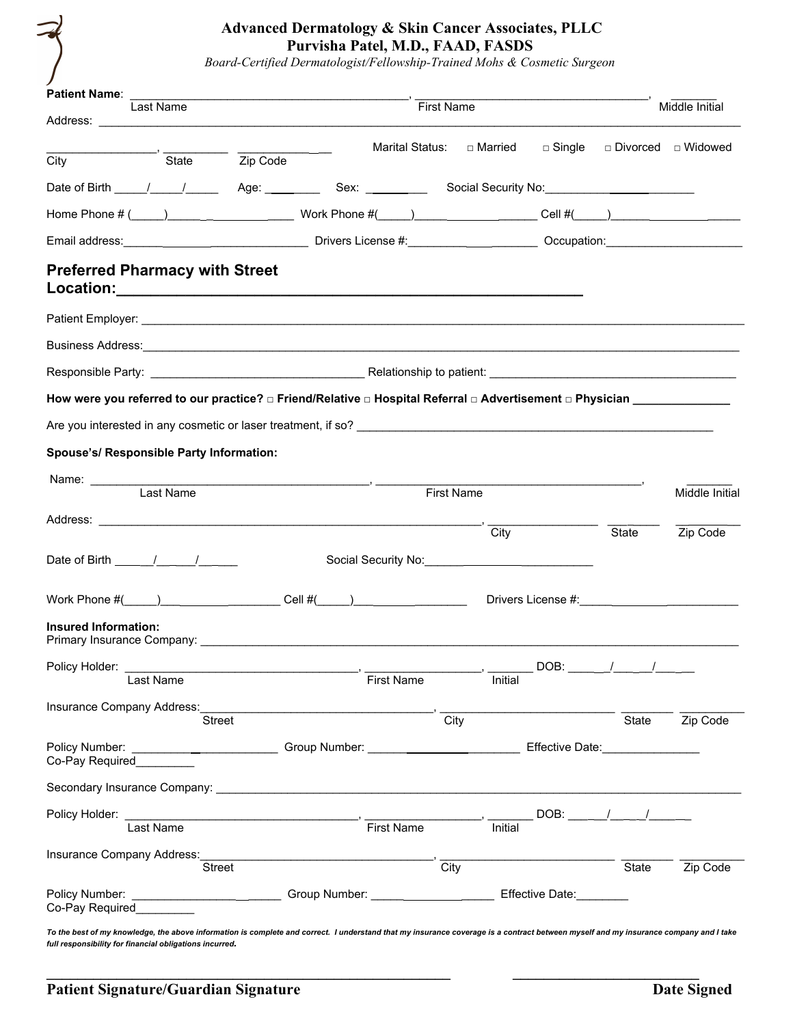# **Advanced Dermatology & Skin Cancer Associates, PLLC Purvisha Patel, M.D., FAAD, FASDS**

*Board-Certified Dermatologist/Fellowship-Trained Mohs & Cosmetic Surgeon*

| Patient Name: _                                                                                                                                                                                                                                                                                                                   |                                                                                                                                                                                                                                                                                                                                                                                                                                                                                 |            |                            |               |                           |                                    |
|-----------------------------------------------------------------------------------------------------------------------------------------------------------------------------------------------------------------------------------------------------------------------------------------------------------------------------------|---------------------------------------------------------------------------------------------------------------------------------------------------------------------------------------------------------------------------------------------------------------------------------------------------------------------------------------------------------------------------------------------------------------------------------------------------------------------------------|------------|----------------------------|---------------|---------------------------|------------------------------------|
| Last Name                                                                                                                                                                                                                                                                                                                         |                                                                                                                                                                                                                                                                                                                                                                                                                                                                                 | First Name |                            |               |                           | Middle Initial                     |
|                                                                                                                                                                                                                                                                                                                                   |                                                                                                                                                                                                                                                                                                                                                                                                                                                                                 |            | Marital Status:  □ Married | $\Box$ Single |                           | □ Divorced □ Widowed               |
| City                                                                                                                                                                                                                                                                                                                              | $\overline{\phantom{a}}$ $\overline{\phantom{a}}$ $\overline{\phantom{a}}$ $\overline{\phantom{a}}$ $\overline{\phantom{a}}$ $\overline{\phantom{a}}$ $\overline{\phantom{a}}$ $\overline{\phantom{a}}$ $\overline{\phantom{a}}$ $\overline{\phantom{a}}$ $\overline{\phantom{a}}$ $\overline{\phantom{a}}$ $\overline{\phantom{a}}$ $\overline{\phantom{a}}$ $\overline{\phantom{a}}$ $\overline{\phantom{a}}$ $\overline{\phantom{a}}$ $\overline{\phantom{a}}$ $\overline{\$ |            |                            |               |                           |                                    |
|                                                                                                                                                                                                                                                                                                                                   |                                                                                                                                                                                                                                                                                                                                                                                                                                                                                 |            |                            |               |                           |                                    |
|                                                                                                                                                                                                                                                                                                                                   |                                                                                                                                                                                                                                                                                                                                                                                                                                                                                 |            |                            |               |                           |                                    |
| Email address: <u>contract and contract and contract and contract and contract and contract and contract and contract and contract and contract and contract and contract and contract and contract and contract and contract an</u>                                                                                              |                                                                                                                                                                                                                                                                                                                                                                                                                                                                                 |            |                            |               |                           |                                    |
| <b>Preferred Pharmacy with Street</b>                                                                                                                                                                                                                                                                                             |                                                                                                                                                                                                                                                                                                                                                                                                                                                                                 |            |                            |               |                           |                                    |
|                                                                                                                                                                                                                                                                                                                                   |                                                                                                                                                                                                                                                                                                                                                                                                                                                                                 |            |                            |               |                           |                                    |
|                                                                                                                                                                                                                                                                                                                                   |                                                                                                                                                                                                                                                                                                                                                                                                                                                                                 |            |                            |               |                           |                                    |
| Responsible Party: National According to Party and According to Particular According to patient: National According to patient: National According to patient: National According to District According to the United States o                                                                                                    |                                                                                                                                                                                                                                                                                                                                                                                                                                                                                 |            |                            |               |                           |                                    |
| How were you referred to our practice? □ Friend/Relative □ Hospital Referral □ Advertisement □ Physician ___________                                                                                                                                                                                                              |                                                                                                                                                                                                                                                                                                                                                                                                                                                                                 |            |                            |               |                           |                                    |
|                                                                                                                                                                                                                                                                                                                                   |                                                                                                                                                                                                                                                                                                                                                                                                                                                                                 |            |                            |               |                           |                                    |
| Spouse's/ Responsible Party Information:                                                                                                                                                                                                                                                                                          |                                                                                                                                                                                                                                                                                                                                                                                                                                                                                 |            |                            |               |                           |                                    |
|                                                                                                                                                                                                                                                                                                                                   |                                                                                                                                                                                                                                                                                                                                                                                                                                                                                 |            |                            |               |                           |                                    |
| Last Name                                                                                                                                                                                                                                                                                                                         |                                                                                                                                                                                                                                                                                                                                                                                                                                                                                 | First Name |                            |               |                           | Middle Initial                     |
|                                                                                                                                                                                                                                                                                                                                   |                                                                                                                                                                                                                                                                                                                                                                                                                                                                                 |            | City                       |               | State                     | Zip Code                           |
| Date of Birth $\frac{1}{\sqrt{2}}$                                                                                                                                                                                                                                                                                                |                                                                                                                                                                                                                                                                                                                                                                                                                                                                                 |            |                            |               |                           |                                    |
|                                                                                                                                                                                                                                                                                                                                   |                                                                                                                                                                                                                                                                                                                                                                                                                                                                                 |            |                            |               |                           |                                    |
| Work Phone $\#($ $)$ $\qquad$ $\qquad$ $\qquad$ $\qquad$ $\qquad$ $\qquad$ $\qquad$ $\qquad$ $\qquad$ $\qquad$ $\qquad$ $\qquad$ $\qquad$ $\qquad$ $\qquad$ $\qquad$ $\qquad$ $\qquad$ $\qquad$ $\qquad$ $\qquad$ $\qquad$ $\qquad$ $\qquad$ $\qquad$ $\qquad$ $\qquad$ $\qquad$ $\qquad$ $\qquad$ $\qquad$ $\qquad$ $\qquad$ $\$ |                                                                                                                                                                                                                                                                                                                                                                                                                                                                                 |            |                            |               |                           | Drivers License #: 1999 March 2014 |
| <b>Insured Information:</b>                                                                                                                                                                                                                                                                                                       |                                                                                                                                                                                                                                                                                                                                                                                                                                                                                 |            |                            |               |                           |                                    |
| Policy Holder:                                                                                                                                                                                                                                                                                                                    |                                                                                                                                                                                                                                                                                                                                                                                                                                                                                 |            |                            |               | DOB: $\frac{1}{\sqrt{2}}$ |                                    |
| Last Name                                                                                                                                                                                                                                                                                                                         |                                                                                                                                                                                                                                                                                                                                                                                                                                                                                 | First Name | Initial                    |               |                           |                                    |
| Insurance Company Address: Street Company Address: City                                                                                                                                                                                                                                                                           |                                                                                                                                                                                                                                                                                                                                                                                                                                                                                 |            |                            |               | State                     | Zip Code                           |
| Co-Pay Required_______                                                                                                                                                                                                                                                                                                            |                                                                                                                                                                                                                                                                                                                                                                                                                                                                                 |            |                            |               |                           |                                    |
|                                                                                                                                                                                                                                                                                                                                   |                                                                                                                                                                                                                                                                                                                                                                                                                                                                                 |            |                            |               |                           |                                    |
| Policy Holder:<br>I ast Name<br>I as Name<br>Big Name<br>Tirst Name                                                                                                                                                                                                                                                               |                                                                                                                                                                                                                                                                                                                                                                                                                                                                                 |            | $\frac{1}{\sqrt{1}}$       |               |                           |                                    |
|                                                                                                                                                                                                                                                                                                                                   |                                                                                                                                                                                                                                                                                                                                                                                                                                                                                 |            |                            |               |                           |                                    |
| Insurance Company Address: Street Company Address: City                                                                                                                                                                                                                                                                           |                                                                                                                                                                                                                                                                                                                                                                                                                                                                                 |            |                            |               | State                     | Zip Code                           |
| Policy Number: ____________________________Group Number: ________________________ Effective Date: ________<br>Co-Pay Required                                                                                                                                                                                                     |                                                                                                                                                                                                                                                                                                                                                                                                                                                                                 |            |                            |               |                           |                                    |
| To the best of my knowledge, the above information is complete and correct. I understand that my insurance coverage is a contract between myself and my insurance company and I take                                                                                                                                              |                                                                                                                                                                                                                                                                                                                                                                                                                                                                                 |            |                            |               |                           |                                    |

**\_\_\_\_\_\_\_\_\_\_\_\_\_\_\_\_\_\_\_\_\_\_\_\_\_\_\_\_\_\_\_\_\_\_\_\_\_\_\_\_\_\_\_\_\_\_\_\_\_\_\_\_ \_\_\_\_\_\_\_\_\_\_\_\_\_\_\_\_\_\_\_\_\_\_\_\_**

*full responsibility for financial obligations incurred.*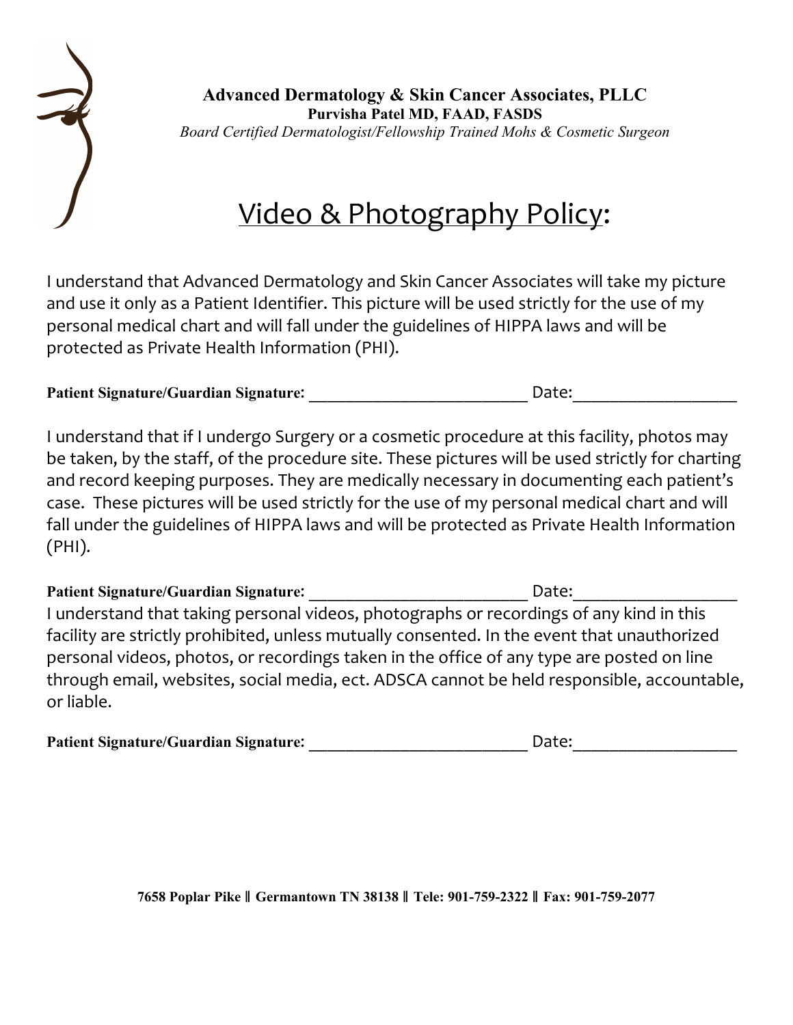

**Advanced Dermatology & Skin Cancer Associates, PLLC Purvisha Patel MD, FAAD, FASDS** *Board Certified Dermatologist/Fellowship Trained Mohs & Cosmetic Surgeon*

# Video & Photography Policy:

I understand that Advanced Dermatology and Skin Cancer Associates will take my picture and use it only as a Patient Identifier. This picture will be used strictly for the use of my personal medical chart and will fall under the guidelines of HIPPA laws and will be protected as Private Health Information (PHI).

| <b>Patient Signature/Guardian Signature:</b> |
|----------------------------------------------|
|----------------------------------------------|

I understand that if I undergo Surgery or a cosmetic procedure at this facility, photos may be taken, by the staff, of the procedure site. These pictures will be used strictly for charting and record keeping purposes. They are medically necessary in documenting each patient's case. These pictures will be used strictly for the use of my personal medical chart and will fall under the guidelines of HIPPA laws and will be protected as Private Health Information  $(PHI).$ 

**Patient Signature/Guardian Signature:**  $\qquad \qquad$  Date: I understand that taking personal videos, photographs or recordings of any kind in this facility are strictly prohibited, unless mutually consented. In the event that unauthorized personal videos, photos, or recordings taken in the office of any type are posted on line through email, websites, social media, ect. ADSCA cannot be held responsible, accountable, or liable.

| <b>Patient Signature/Guardian Signature:</b> | Date: |
|----------------------------------------------|-------|
|                                              |       |

**7658 Poplar Pike** ǁ **Germantown TN 38138** ǁ **Tele: 901-759-2322** ǁ **Fax: 901-759-2077**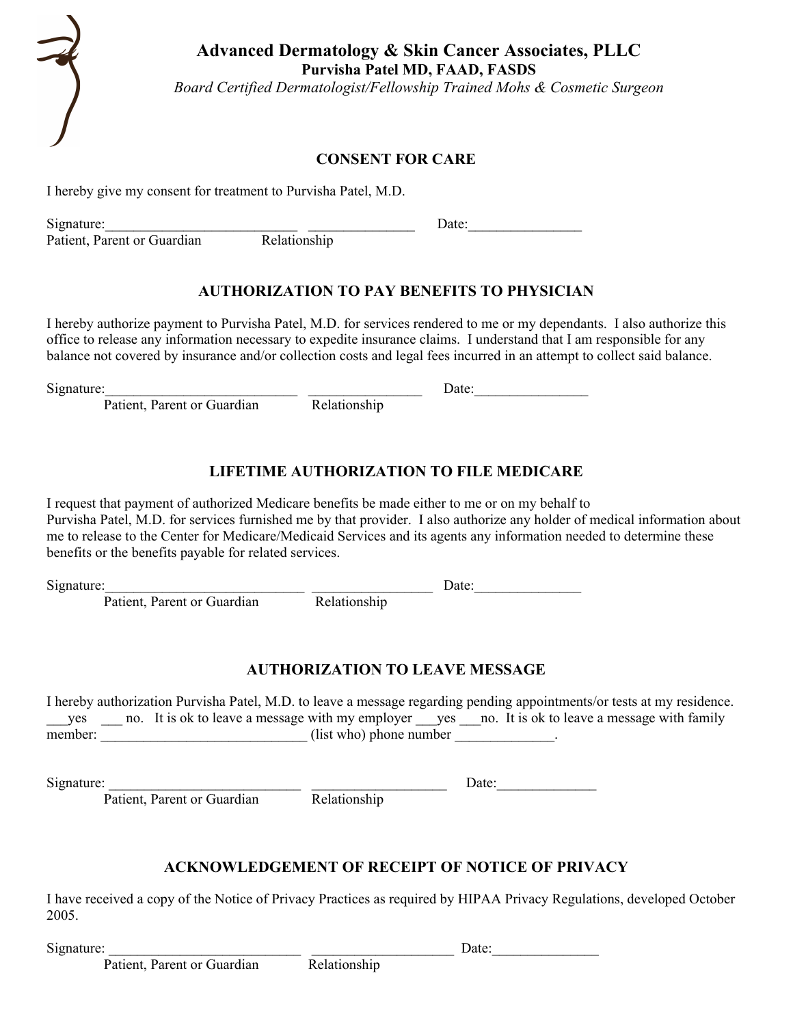

**Advanced Dermatology & Skin Cancer Associates, PLLC Purvisha Patel MD, FAAD, FASDS**

*Board Certified Dermatologist/Fellowship Trained Mohs & Cosmetic Surgeon*

#### **CONSENT FOR CARE**

I hereby give my consent for treatment to Purvisha Patel, M.D.

Signature: Signature: Date: Date: Date: Date: Date: Date: Date: Date: Date: Date: Date: Date: Date: Date: Date: Date: Date: Date: Date: Date: Date: Date: Date: Date: Date: Date: Date: Date: Date: Date: Date: Date: Date: Da

Patient, Parent or Guardian

# **AUTHORIZATION TO PAY BENEFITS TO PHYSICIAN**

I hereby authorize payment to Purvisha Patel, M.D. for services rendered to me or my dependants. I also authorize this office to release any information necessary to expedite insurance claims. I understand that I am responsible for any balance not covered by insurance and/or collection costs and legal fees incurred in an attempt to collect said balance.

Patient, Parent or Guardian Relationship

Signature: The Date:  $\Box$ 

# **LIFETIME AUTHORIZATION TO FILE MEDICARE**

I request that payment of authorized Medicare benefits be made either to me or on my behalf to Purvisha Patel, M.D. for services furnished me by that provider. I also authorize any holder of medical information about me to release to the Center for Medicare/Medicaid Services and its agents any information needed to determine these benefits or the benefits payable for related services.

 $Signature: \n\frac{1}{\sum_{i=1}^{n} \sum_{i=1}^{n} \frac{1}{\sum_{i=1}^{n} \sum_{i=1}^{n} \frac{1}{\sum_{i=1}^{n} \sum_{i=1}^{n} \frac{1}{\sum_{i=1}^{n} \sum_{i=1}^{n} \frac{1}{\sum_{i=1}^{n} \sum_{i=1}^{n} \frac{1}{\sum_{i=1}^{n} \sum_{i=1}^{n} \frac{1}{\sum_{i=1}^{n} \sum_{i=1}^{n} \frac{1}{\sum_{i=1}^{n} \sum_{i=1}^{n} \frac{1}{\sum_{i=1}^{n$ 

Patient, Parent or Guardian Relationship

# **AUTHORIZATION TO LEAVE MESSAGE**

I hereby authorization Purvisha Patel, M.D. to leave a message regarding pending appointments/or tests at my residence. yes \_\_\_ no. It is ok to leave a message with my employer \_\_\_yes \_\_\_no. It is ok to leave a message with family member:  $\overline{\phantom{a}}$  (list who) phone number  $\overline{\phantom{a}}$ .

Signature: \_\_\_\_\_\_\_\_\_\_\_\_\_\_\_\_\_\_\_\_\_\_\_\_\_\_\_ \_\_\_\_\_\_\_\_\_\_\_\_\_\_\_\_\_\_\_ Date:\_\_\_\_\_\_\_\_\_\_\_\_\_\_

Patient, Parent or Guardian Relationship

# **ACKNOWLEDGEMENT OF RECEIPT OF NOTICE OF PRIVACY**

I have received a copy of the Notice of Privacy Practices as required by HIPAA Privacy Regulations, developed October 2005.

Patient, Parent or Guardian Relationship

 $Signature:$   $\qquad \qquad$  Date: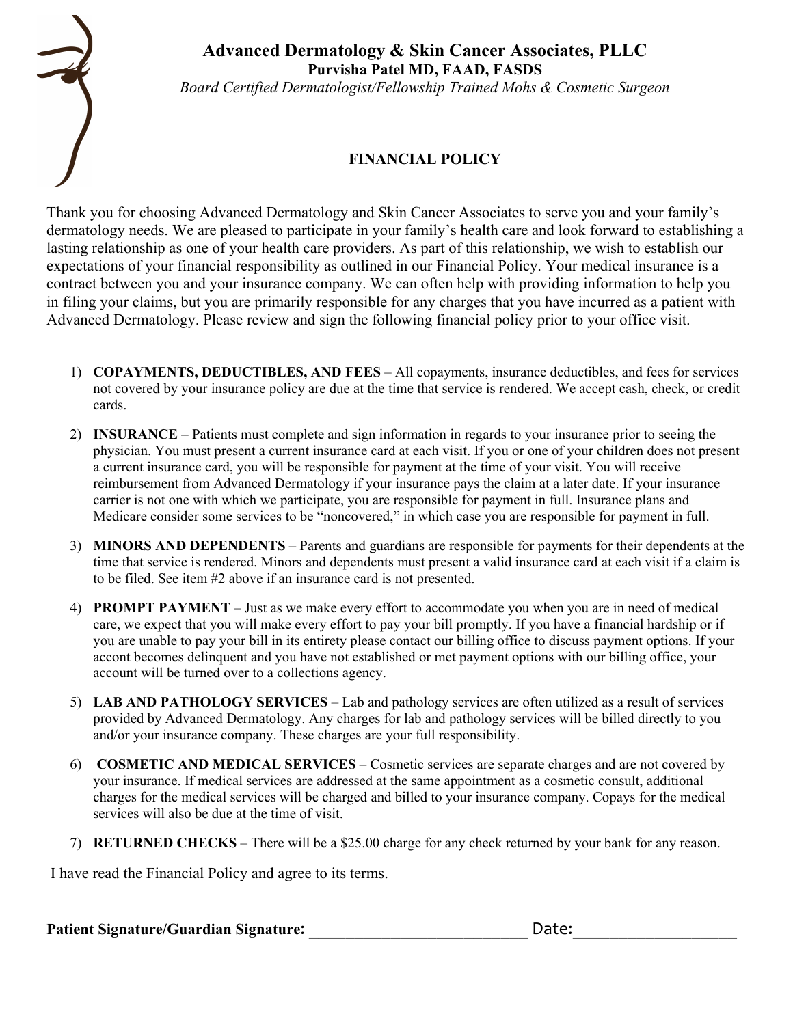

#### **Advanced Dermatology & Skin Cancer Associates, PLLC Purvisha Patel MD, FAAD, FASDS** *Board Certified Dermatologist/Fellowship Trained Mohs & Cosmetic Surgeon*

# **FINANCIAL POLICY**

Thank you for choosing Advanced Dermatology and Skin Cancer Associates to serve you and your family's dermatology needs. We are pleased to participate in your family's health care and look forward to establishing a lasting relationship as one of your health care providers. As part of this relationship, we wish to establish our expectations of your financial responsibility as outlined in our Financial Policy. Your medical insurance is a contract between you and your insurance company. We can often help with providing information to help you in filing your claims, but you are primarily responsible for any charges that you have incurred as a patient with Advanced Dermatology. Please review and sign the following financial policy prior to your office visit.

- 1) **COPAYMENTS, DEDUCTIBLES, AND FEES** All copayments, insurance deductibles, and fees for services not covered by your insurance policy are due at the time that service is rendered. We accept cash, check, or credit cards.
- 2) **INSURANCE** Patients must complete and sign information in regards to your insurance prior to seeing the physician. You must present a current insurance card at each visit. If you or one of your children does not present a current insurance card, you will be responsible for payment at the time of your visit. You will receive reimbursement from Advanced Dermatology if your insurance pays the claim at a later date. If your insurance carrier is not one with which we participate, you are responsible for payment in full. Insurance plans and Medicare consider some services to be "noncovered," in which case you are responsible for payment in full.
- 3) **MINORS AND DEPENDENTS** Parents and guardians are responsible for payments for their dependents at the time that service is rendered. Minors and dependents must present a valid insurance card at each visit if a claim is to be filed. See item #2 above if an insurance card is not presented.
- 4) **PROMPT PAYMENT** Just as we make every effort to accommodate you when you are in need of medical care, we expect that you will make every effort to pay your bill promptly. If you have a financial hardship or if you are unable to pay your bill in its entirety please contact our billing office to discuss payment options. If your accont becomes delinquent and you have not established or met payment options with our billing office, your account will be turned over to a collections agency.
- 5) **LAB AND PATHOLOGY SERVICES** Lab and pathology services are often utilized as a result of services provided by Advanced Dermatology. Any charges for lab and pathology services will be billed directly to you and/or your insurance company. These charges are your full responsibility.
- 6) **COSMETIC AND MEDICAL SERVICES** Cosmetic services are separate charges and are not covered by your insurance. If medical services are addressed at the same appointment as a cosmetic consult, additional charges for the medical services will be charged and billed to your insurance company. Copays for the medical services will also be due at the time of visit.
- 7) **RETURNED CHECKS** There will be a \$25.00 charge for any check returned by your bank for any reason.

I have read the Financial Policy and agree to its terms.

Patient Signature/Guardian Signature: \_\_\_\_\_\_\_\_\_\_\_\_\_\_\_\_\_\_\_\_\_\_\_\_\_\_\_\_\_\_\_\_\_Date: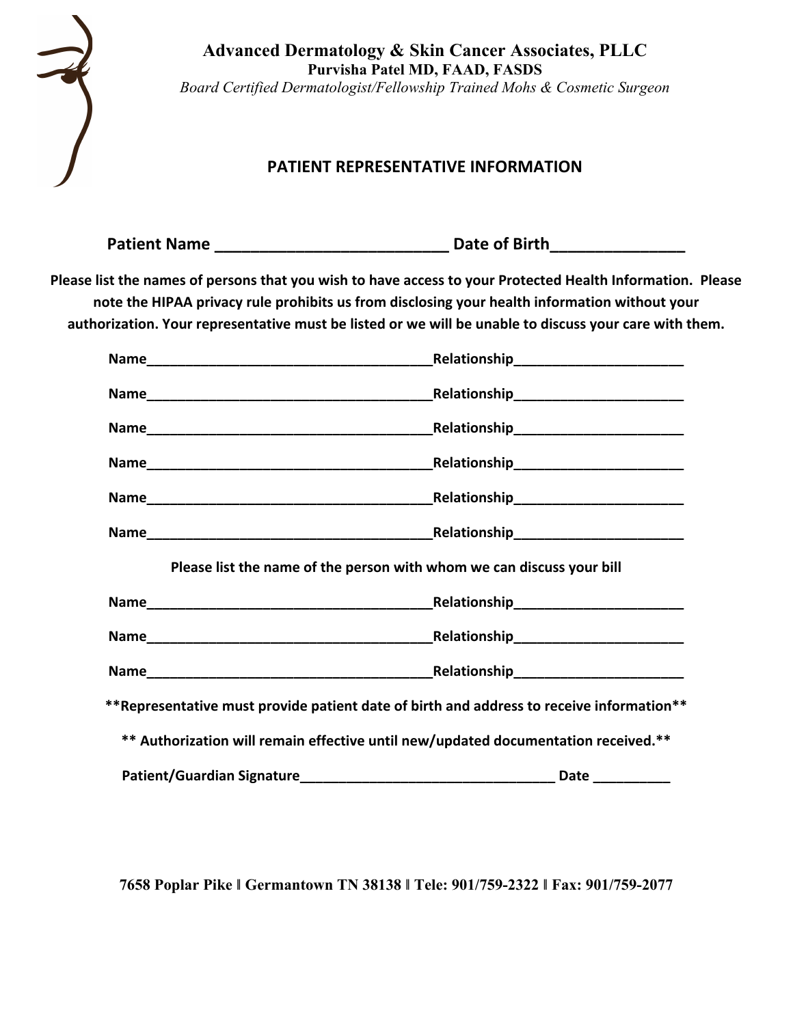

**Advanced Dermatology & Skin Cancer Associates, PLLC Purvisha Patel MD, FAAD, FASDS** *Board Certified Dermatologist/Fellowship Trained Mohs & Cosmetic Surgeon*

# **PATIENT REPRESENTATIVE INFORMATION**

| <b>Patient Name</b> |  | Date of Birth |
|---------------------|--|---------------|
|---------------------|--|---------------|

Please list the names of persons that you wish to have access to your Protected Health Information. Please note the HIPAA privacy rule prohibits us from disclosing your health information without your authorization. Your representative must be listed or we will be unable to discuss your care with them.

|                            | Please list the name of the person with whom we can discuss your bill                     |
|----------------------------|-------------------------------------------------------------------------------------------|
|                            |                                                                                           |
|                            |                                                                                           |
|                            |                                                                                           |
|                            | ** Representative must provide patient date of birth and address to receive information** |
|                            | ** Authorization will remain effective until new/updated documentation received.**        |
| Patient/Guardian Signature | Date ___________                                                                          |

**7658 Poplar Pike ! Germantown TN 38138 ! Tele: 901/759-2322 ! Fax: 901/759-2077**